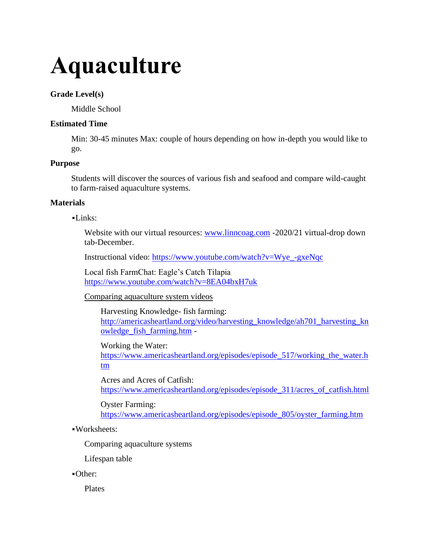# **Aquaculture**

### **Grade Level(s)**

Middle School

## **Estimated Time**

Min: 30-45 minutes Max: couple of hours depending on how in-depth you would like to go.

## **Purpose**

Students will discover the sources of various fish and seafood and compare wild-caught to farm-raised aquaculture systems.

## **Materials**

 $-I$  inks:

Website with our virtual resources: [www.linncoag.com](http://www.linncoag.com/) -2020/21 virtual-drop down tab-December.

Instructional video: [https://www.youtube.com/watch?v=Wye\\_-gxeNqc](https://www.youtube.com/watch?v=Wye_-gxeNqc)

Local fish FarmChat: Eagle's Catch Tilapia <https://www.youtube.com/watch?v=8EA04bxH7uk>

Comparing aquaculture system videos

Harvesting Knowledge- fish farming: [http://americasheartland.org/video/harvesting\\_knowledge/ah701\\_harvesting\\_kn](http://americasheartland.org/video/harvesting_knowledge/ah701_harvesting_knowledge_fish_farming.htm) [owledge\\_fish\\_farming.htm](http://americasheartland.org/video/harvesting_knowledge/ah701_harvesting_knowledge_fish_farming.htm) -

Working the Water: [https://www.americasheartland.org/episodes/episode\\_517/working\\_the\\_water.h](https://www.americasheartland.org/episodes/episode_517/working_the_water.htm) [tm](https://www.americasheartland.org/episodes/episode_517/working_the_water.htm)

Acres and Acres of Catfish: [https://www.americasheartland.org/episodes/episode\\_311/acres\\_of\\_catfish.html](https://www.americasheartland.org/episodes/episode_311/acres_of_catfish.html)

Oyster Farming: [https://www.americasheartland.org/episodes/episode\\_805/oyster\\_farming.htm](https://www.americasheartland.org/episodes/episode_805/oyster_farming.htm)

▪Worksheets:

Comparing aquaculture systems

Lifespan table

▪Other:

Plates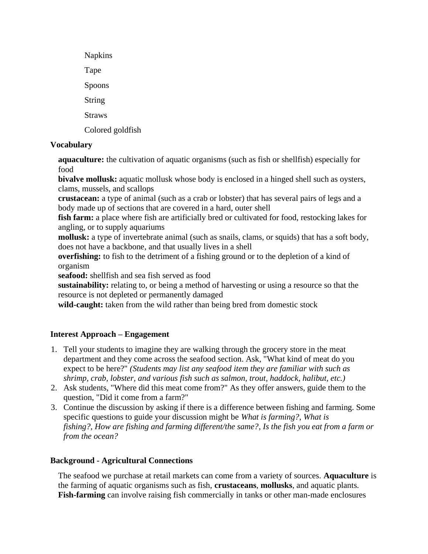| <b>Napkins</b>   |
|------------------|
| Tape             |
| Spoons           |
| String           |
| <b>Straws</b>    |
| Colored goldfish |

# **Vocabulary**

**aquaculture:** the cultivation of aquatic organisms (such as fish or shellfish) especially for food

**bivalve mollusk:** aquatic mollusk whose body is enclosed in a hinged shell such as oysters, clams, mussels, and scallops

**crustacean:** a type of animal (such as a crab or lobster) that has several pairs of legs and a body made up of sections that are covered in a hard, outer shell

**fish farm:** a place where fish are artificially bred or cultivated for food, restocking lakes for angling, or to supply aquariums

**mollusk:** a type of invertebrate animal (such as snails, clams, or squids) that has a soft body, does not have a backbone, and that usually lives in a shell

**overfishing:** to fish to the detriment of a fishing ground or to the depletion of a kind of organism

**seafood:** shellfish and sea fish served as food

**sustainability:** relating to, or being a method of harvesting or using a resource so that the resource is not depleted or permanently damaged

**wild-caught:** taken from the wild rather than being bred from domestic stock

# **Interest Approach – Engagement**

- 1. Tell your students to imagine they are walking through the grocery store in the meat department and they come across the seafood section. Ask, "What kind of meat do you expect to be here?" *(Students may list any seafood item they are familiar with such as shrimp, crab, lobster, and various fish such as salmon, trout, haddock, halibut, etc.)*
- 2. Ask students, "Where did this meat come from?" As they offer answers, guide them to the question, "Did it come from a farm?"
- 3. Continue the discussion by asking if there is a difference between fishing and farming. Some specific questions to guide your discussion might be *What is farming?*, *What is fishing?, How are fishing and farming different/the same?*, *Is the fish you eat from a farm or from the ocean?*

# **Background - Agricultural Connections**

The seafood we purchase at retail markets can come from a variety of sources. **Aquaculture** is the farming of aquatic organisms such as fish, **crustaceans**, **mollusks**, and aquatic plants. **Fish-farming** can involve raising fish commercially in tanks or other man-made enclosures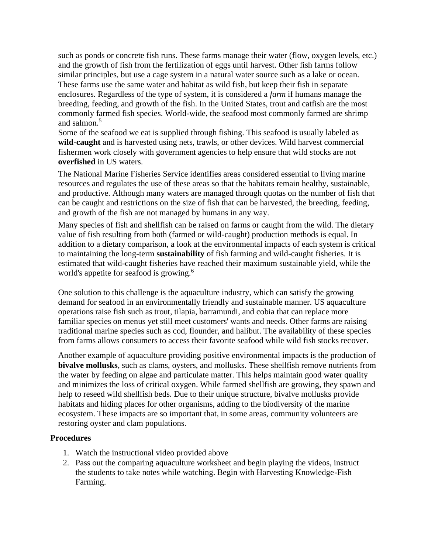such as ponds or concrete fish runs. These farms manage their water (flow, oxygen levels, etc.) and the growth of fish from the fertilization of eggs until harvest. Other fish farms follow similar principles, but use a cage system in a natural water source such as a lake or ocean. These farms use the same water and habitat as wild fish, but keep their fish in separate enclosures. Regardless of the type of system, it is considered a *farm* if humans manage the breeding, feeding, and growth of the fish. In the United States, trout and catfish are the most commonly farmed fish species. World-wide, the seafood most commonly farmed are shrimp and salmon.<sup>5</sup>

Some of the seafood we eat is supplied through fishing. This seafood is usually labeled as **wild-caught** and is harvested using nets, trawls, or other devices. Wild harvest commercial fishermen work closely with government agencies to help ensure that wild stocks are not **overfished** in US waters.

The National Marine Fisheries Service identifies areas considered essential to living marine resources and regulates the use of these areas so that the habitats remain healthy, sustainable, and productive. Although many waters are managed through quotas on the number of fish that can be caught and restrictions on the size of fish that can be harvested, the breeding, feeding, and growth of the fish are not managed by humans in any way.

Many species of fish and shellfish can be raised on farms or caught from the wild. The dietary value of fish resulting from both (farmed or wild-caught) production methods is equal. In addition to a dietary comparison, a look at the environmental impacts of each system is critical to maintaining the long-term **sustainability** of fish farming and wild-caught fisheries. It is estimated that wild-caught fisheries have reached their maximum sustainable yield, while the world's appetite for seafood is growing.<sup>6</sup>

One solution to this challenge is the aquaculture industry, which can satisfy the growing demand for seafood in an environmentally friendly and sustainable manner. US aquaculture operations raise fish such as trout, tilapia, barramundi, and cobia that can replace more familiar species on menus yet still meet customers' wants and needs. Other farms are raising traditional marine species such as cod, flounder, and halibut. The availability of these species from farms allows consumers to access their favorite seafood while wild fish stocks recover.

Another example of aquaculture providing positive environmental impacts is the production of **bivalve mollusks**, such as clams, oysters, and mollusks. These shellfish remove nutrients from the water by feeding on algae and particulate matter. This helps maintain good water quality and minimizes the loss of critical oxygen. While farmed shellfish are growing, they spawn and help to reseed wild shellfish beds. Due to their unique structure, bivalve mollusks provide habitats and hiding places for other organisms, adding to the biodiversity of the marine ecosystem. These impacts are so important that, in some areas, community volunteers are restoring oyster and clam populations.

### **Procedures**

- 1. Watch the instructional video provided above
- 2. Pass out the comparing aquaculture worksheet and begin playing the videos, instruct the students to take notes while watching. Begin with Harvesting Knowledge-Fish Farming.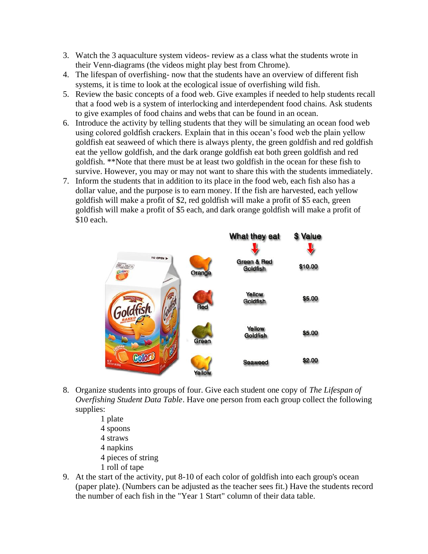- 3. Watch the 3 aquaculture system videos- review as a class what the students wrote in their Venn-diagrams (the videos might play best from Chrome).
- 4. The lifespan of overfishing- now that the students have an overview of different fish systems, it is time to look at the ecological issue of overfishing wild fish.
- 5. Review the basic concepts of a food web. Give examples if needed to help students recall that a food web is a system of interlocking and interdependent food chains. Ask students to give examples of food chains and webs that can be found in an ocean.
- 6. Introduce the activity by telling students that they will be simulating an ocean food web using colored goldfish crackers. Explain that in this ocean's food web the plain yellow goldfish eat seaweed of which there is always plenty, the green goldfish and red goldfish eat the yellow goldfish, and the dark orange goldfish eat both green goldfish and red goldfish. \*\*Note that there must be at least two goldfish in the ocean for these fish to survive. However, you may or may not want to share this with the students immediately.
- 7. Inform the students that in addition to its place in the food web, each fish also has a dollar value, and the purpose is to earn money. If the fish are harvested, each yellow goldfish will make a profit of \$2, red goldfish will make a profit of \$5 each, green goldfish will make a profit of \$5 each, and dark orange goldfish will make a profit of \$10 each.



- 8. Organize students into groups of four. Give each student one copy of *The Lifespan of Overfishing Student Data Table*. Have one person from each group collect the following supplies:
	- 1 plate
	- 4 spoons
	- 4 straws
	- 4 napkins
	- 4 pieces of string
	- 1 roll of tape
- 9. At the start of the activity, put 8-10 of each color of goldfish into each group's ocean (paper plate). (Numbers can be adjusted as the teacher sees fit.) Have the students record the number of each fish in the "Year 1 Start" column of their data table.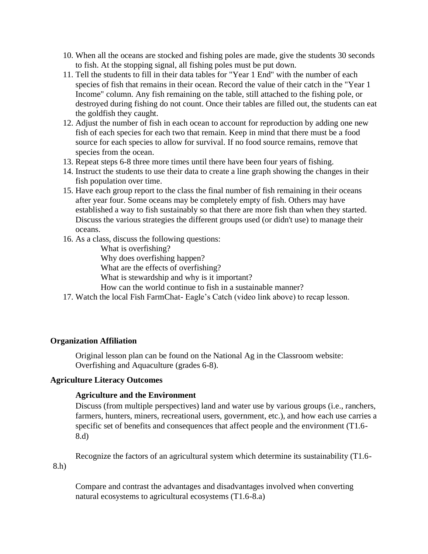- 10. When all the oceans are stocked and fishing poles are made, give the students 30 seconds to fish. At the stopping signal, all fishing poles must be put down.
- 11. Tell the students to fill in their data tables for "Year 1 End" with the number of each species of fish that remains in their ocean. Record the value of their catch in the "Year 1 Income" column. Any fish remaining on the table, still attached to the fishing pole, or destroyed during fishing do not count. Once their tables are filled out, the students can eat the goldfish they caught.
- 12. Adjust the number of fish in each ocean to account for reproduction by adding one new fish of each species for each two that remain. Keep in mind that there must be a food source for each species to allow for survival. If no food source remains, remove that species from the ocean.
- 13. Repeat steps 6-8 three more times until there have been four years of fishing.
- 14. Instruct the students to use their data to create a line graph showing the changes in their fish population over time.
- 15. Have each group report to the class the final number of fish remaining in their oceans after year four. Some oceans may be completely empty of fish. Others may have established a way to fish sustainably so that there are more fish than when they started. Discuss the various strategies the different groups used (or didn't use) to manage their oceans.
- 16. As a class, discuss the following questions:

What is overfishing?

Why does overfishing happen?

What are the effects of overfishing?

What is stewardship and why is it important?

How can the world continue to fish in a sustainable manner?

17. Watch the local Fish FarmChat- Eagle's Catch (video link above) to recap lesson.

### **Organization Affiliation**

Original lesson plan can be found on the National Ag in the Classroom website: Overfishing and Aquaculture (grades 6-8).

### **Agriculture Literacy Outcomes**

### **Agriculture and the Environment**

Discuss (from multiple perspectives) land and water use by various groups (i.e., ranchers, farmers, hunters, miners, recreational users, government, etc.), and how each use carries a specific set of benefits and consequences that affect people and the environment (T1.6- 8.d)

Recognize the factors of an agricultural system which determine its sustainability (T1.6-

8.h)

Compare and contrast the advantages and disadvantages involved when converting natural ecosystems to agricultural ecosystems (T1.6-8.a)